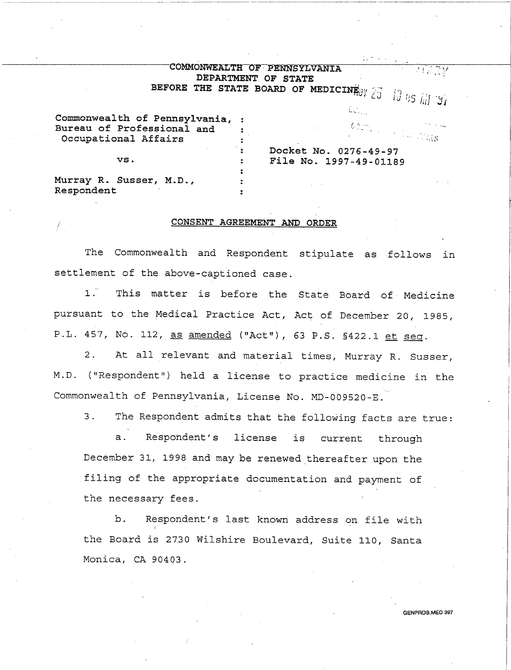## COMMONWEALTH OF PENNSYLVANIA DEPARTMENT OF STATE

-------~---~~-~---~~---- -----

BEFORE THE STATE BOARD OF MEDICINE  $y_i \gtrsim -i \int g_i \gtrsim \frac{1}{2} \int g_i \, g_i$ 

£.

| Commonwealth of Pennsylvania, : |                                                                     |  |
|---------------------------------|---------------------------------------------------------------------|--|
|                                 |                                                                     |  |
| Bureau of Professional and      |                                                                     |  |
| Occupational Affairs            | $\mathcal{O}(2\pi\gamma_{\rm eff})$ . The set of $\eta_{\rm MS}$ is |  |
|                                 | Docket No. 0276-49-97                                               |  |
| VS.                             | File No. 1997-49-01189                                              |  |
|                                 |                                                                     |  |
| Murray R. Susser, M.D.,         |                                                                     |  |
| Respondent                      |                                                                     |  |

## CONSENT AGREEMENT AND ORDER

The Commonwealth and Respondent stipulate as .follows in settlement of the above-captioned case.

1. This matter is before the State Board of· Medicine pursuant to the Medical Practice Act, Act of December 20, 1985, P.L. 457, No. 112, as amended ("Act"), 63 P.S. §422.1 et seq.

2. At all relevant and material times, Murray R. Susser, M.D. ("Respondent") held a license to practice medicine in the Commonwealth of Pennsylvania, License No. MD-009520-E.

3. The Respondent admits that the following facts are true:

a. Respondent's license is current through December 31, 1998 and may be renewed thereafter upon the filing of the appropriate documentation and payment of the necessary fees.

b. Respondent's last known address on file with the Board is 2730 Wilshire Boulevard, Suite 110, Santa Monica, CA 90403.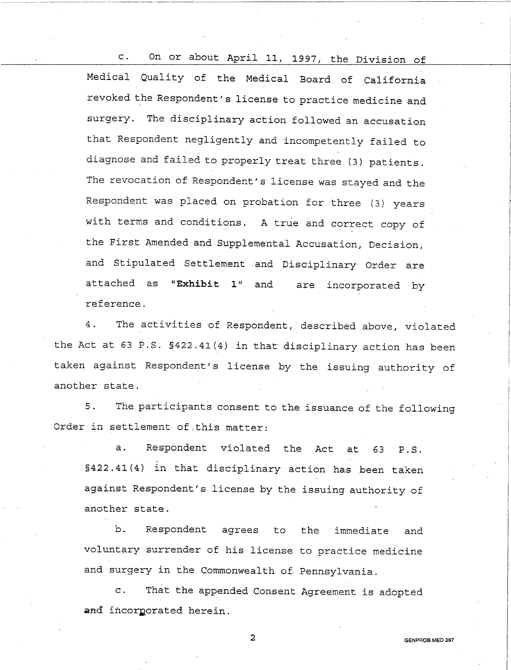c. On or about April 11, 1997, the Division of Medical Quality of the Medical Board of California revoked the Respondent's license to practice medicine and surgery. The disciplinary action followed an accusation that Respondent negligently and incompetently failed to diagnose and failed to properly treat three (3) patients. The revocation of Respondent's license was stayed and the Respondent was placed on probation for three (3) years with terms and conditions. A true and correct copy of the First Amended and Supplemental Accusation, Decision, and Stipulated Settlement and Disciplinary Order are attached as **"Exhibit 1"** and reference. are incorporated by

-----------------·-·· ----------

4. The activities of Respondent, described above, violated the Act at 63 P.S. §422.41(4) in that disciplinary action has been taken against Respondent's license by the issuing authority of another state.

5. The participants consent to the issuance of the following Order in settlement of this matter:

a. Respondent violated the Act at 63 P.S. §422.41(4) in that disciplinary action has been taken against Respondent's license by the issuing authority of another state.

b. Respondent agrees to the immediate and voluntary surrender of his license to practice medicine and surgery in the Commonwealth of. Pennsylvania.

c. That the appended Consent Agreement is adopted and incorporated herein.

2 GENPROB.MED 397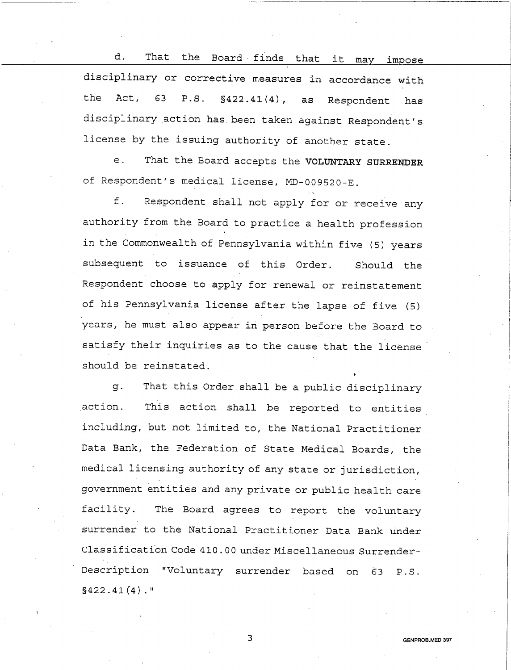d. That the Board finds that it may impose disciplinary or corrective measures in accordance with the Act, 63 P.S. §422.41(4), as Respondent has disciplinary action has. been taken against Respondent's license by the issuing authority of another state.

e. That the Board accepts the VOLUNTARY SURRENDER of Respondent's medical license, MD-009520-E.

f. Respondent shall not apply for or receive any authority from the Board to practice a health profession in the Commonwealth of Pennsylvania within five (5) years subsequent to issuance of this Order. Should the Respondent choose to apply for renewal or reinstatement of his Pennsylvania license after the lapse of five (5) years, he must also appear in person before the Board to satisfy their inquiries as to the cause that the license should be reinstated.

g. That this Order shall be a public disciplinary action. This action shall be reported to entities including, but not limited to, the National Practitioner Data Bank, the Federation of State Medical Boards, the medical licensing authority of any state or jurisdiction, government entities and any private or public health care facility. The Board agrees to report the voluntary surrender to the National Practitioner Data Bank under Classification Code 410.00 under Miscellaneous Surrender-Description "Voluntary surrender based on 63 P.S.  $$422.41(4)$ ."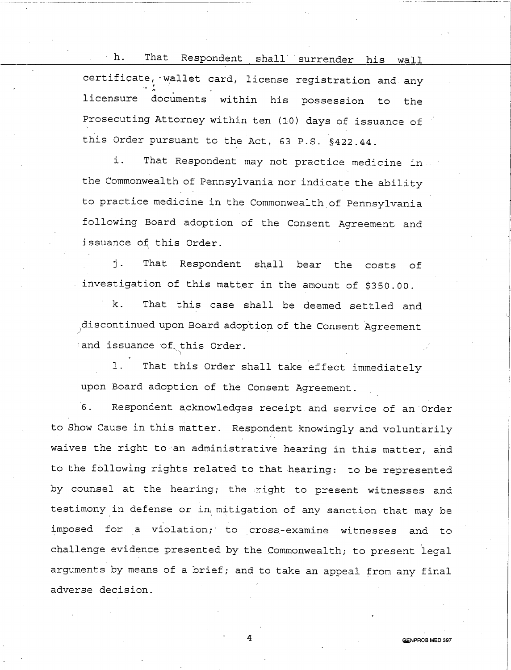h. That Respondent shall surrender his wall certificate, wallet card, license registration and any licensure accuments within his possession to the Prosecuting Attorney within ten (10) days of issuance of this Order pursuant to the Act, 63 P.S. §422.44.

i. That Respondent may not practice medicine in an the Commonwealth of Pennsylvania nor indicate the ability to practice medicine in the Commonwealth of Pennsylvania following Board adoption of the Consent Agreement and issuance of this Order.

j. That Respondent shall bear the costs of investigation of this matter in the amount of \$350.00.

k. That this case shall be deemed settled and discontinued upon Board adoption of the Consent Agreement *)* . and issuance of this Order. ١

1. That this Order shall take effect immediately upon Board adoption of the Consent Agreement.

6. Respondent acknowledges receipt and service of an·order to Show Cause in this matter. Respondent knowingly and voluntarily waives the right to an administrative hearing in this matter, and to the following rights related to that hearing: to be represented by counsel at the hearing; the right to present witnesses and testimony in defense or in mitigation of any sanction that may be imposed for a violation; to cross-examine witnesses and to challenge evidence presented by the Commonwealth; to present legal arguments by means of a brief; and to take an appeal from any final adverse decision.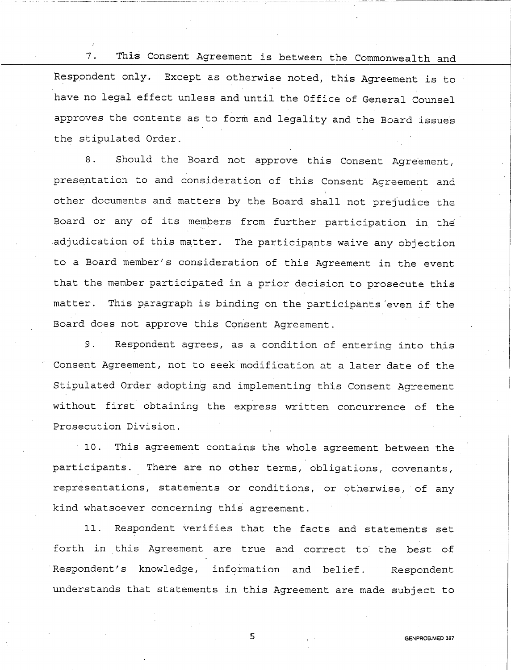7. This Consent Agreement is between the Commonwealth and Respondent only. Except as otherwise noted, this Agreement is to have no legal effect unless and until the Office of General counsel approves the contents as to form and legality and the Board issues the stipulated Order.

8. Should the Board not approve this Consent Agreement, presentation to and consideration of this Consent Agreement and other documents and matters by the Board shall not prejudice the Board or any of its members from further participation in the adjudication of this matter. The participants waive any objection to a Board member's consideration of this Agreement in the event that the member participated in <sup>a</sup>prior decision to prosecute this matter. This paragraph is binding on the participants 'even if the Board does not approve this Consent Agreement.

9. Respondent agrees, as a condition of entering into this Consent Agreement, not to seek modification at a later date of the Stipulated Order adopting and implementing this Consent Agreement without first obtaining the express written concurrence of the Prosecution Division.

10. This agreement contains the whole agreement between the participants. There are no other terms, obligations, covenants, representations, statements or conditions, or otherwise, of any kind whatsoever concerning this agreement.

11. Respondent verifies that the facts and statements set forth in this Agreement are true and correct to the best of Respondent's knowledge, information and belief. Respondent understands that statements in this Agreement are made subject to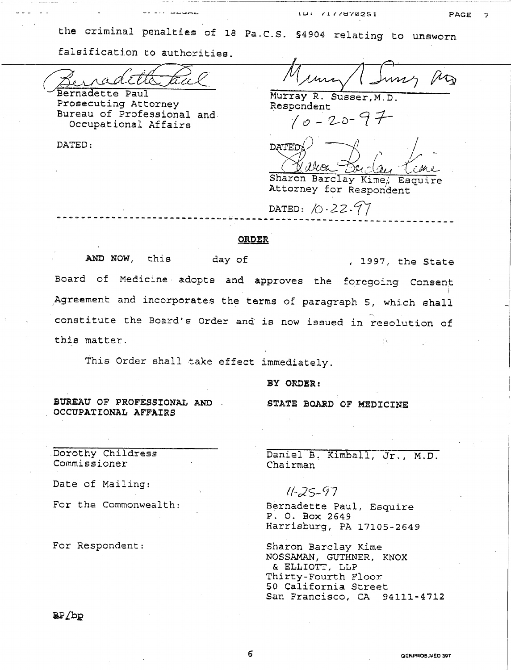the criminal penalties of 18 Pa.C.S. §4904 relating to unsworn

-~--·---~-------~-~-----------~-----·

falsification to authorities.

 $\widehat{M}$  .  $\widehat{\nearrow}$ Berradette taal

Bernadette Paul Prosecuting Attorney Bureau of Professional and Occupational Affairs

DATED:

 $\mathbb{A}_{\mathbb{D}}$  $1$   $1$ 

Murray R. Susser,M.D. Respondent *( o* - *Z-u-* CZ 1-

DATED: */0-22 -1'7* 

 $DATED()$  ,  $|$  $GW$   $\mathcal{F}_{n,\cdot}$   $(n+1)n$ 

Sharon Barclay Kime; Esquire Attorney for Respondent

## -----------------------------~------------------------------------- ORDER

AND NOW, this day of , 1997, the State Board of Medicine adopts and approves the foregoing Consent Agreement and incorporates the terms of paragraph 5, which shall constitute the Board's Order and is now issued in resolution of this matter..

This Order shall take effect immediately.

BY ORDER:

STATE BOARD OF MEDICINE

BUREAU OF PROFESSIONAL AND . OCCUPATIONAL AFFAIRS

Dorothy Childress Commissioner

Date of Mailing:

For the Commonwealth:

For Respondent:

Daniel B. Kimball, Jr., M.D. Chairman

 $11 - 25 - 97$ 

Bernadette Paul, Esquire P. 0. Box 2649 Harrisburg, PA 17105-2649

Sharon Barclay Kime NOSSAMAN, GUTHNER, KNOX & ELLIOTT, LLP Thirty-Fourth Floor 50 California Street San Francisco, CA 94111-4712

**BB** pb

6